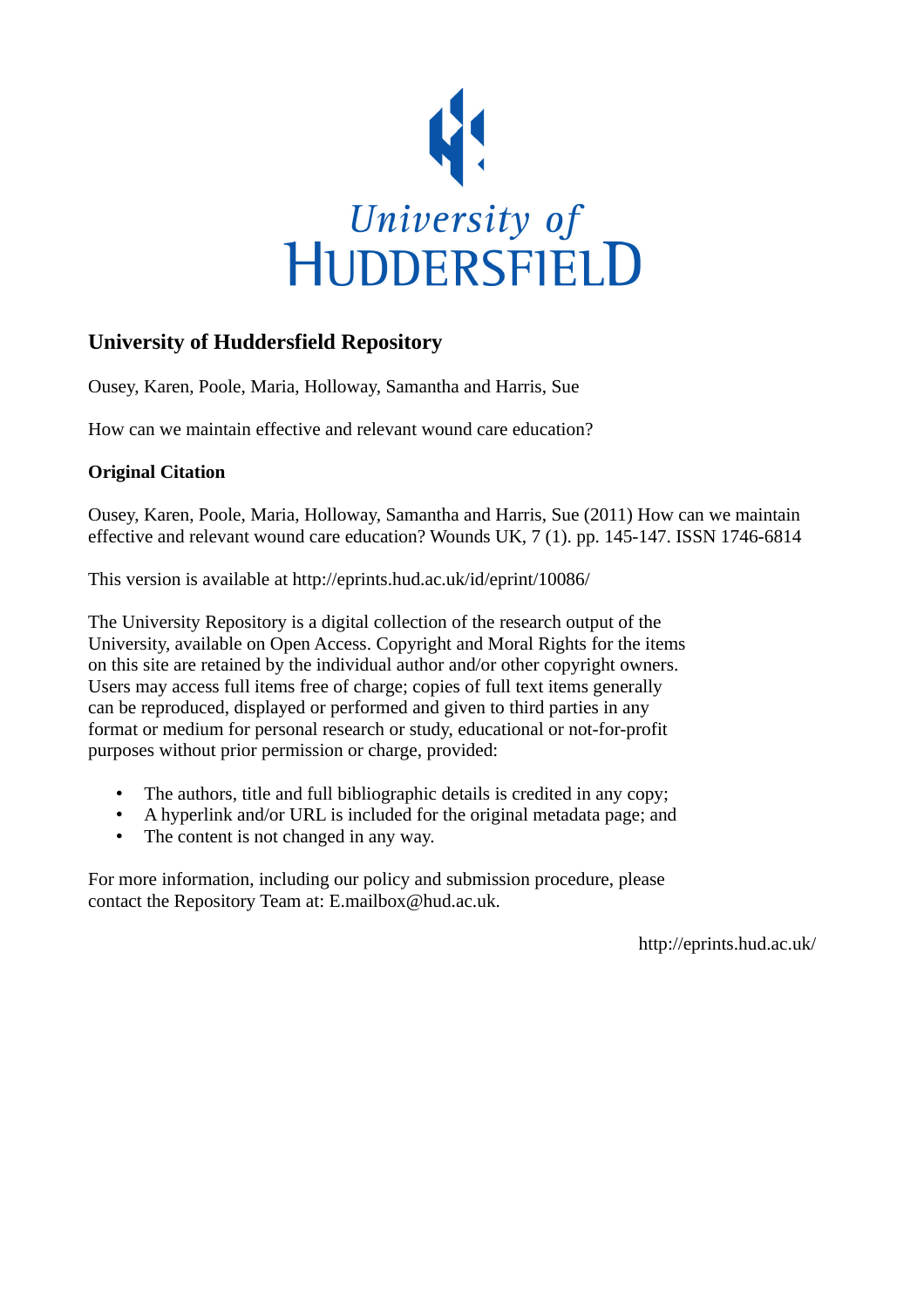

## **University of Huddersfield Repository**

Ousey, Karen, Poole, Maria, Holloway, Samantha and Harris, Sue

How can we maintain effective and relevant wound care education?

### **Original Citation**

Ousey, Karen, Poole, Maria, Holloway, Samantha and Harris, Sue (2011) How can we maintain effective and relevant wound care education? Wounds UK, 7 (1). pp. 145-147. ISSN 1746-6814

This version is available at http://eprints.hud.ac.uk/id/eprint/10086/

The University Repository is a digital collection of the research output of the University, available on Open Access. Copyright and Moral Rights for the items on this site are retained by the individual author and/or other copyright owners. Users may access full items free of charge; copies of full text items generally can be reproduced, displayed or performed and given to third parties in any format or medium for personal research or study, educational or not-for-profit purposes without prior permission or charge, provided:

- The authors, title and full bibliographic details is credited in any copy;
- A hyperlink and/or URL is included for the original metadata page; and
- The content is not changed in any way.

For more information, including our policy and submission procedure, please contact the Repository Team at: E.mailbox@hud.ac.uk.

http://eprints.hud.ac.uk/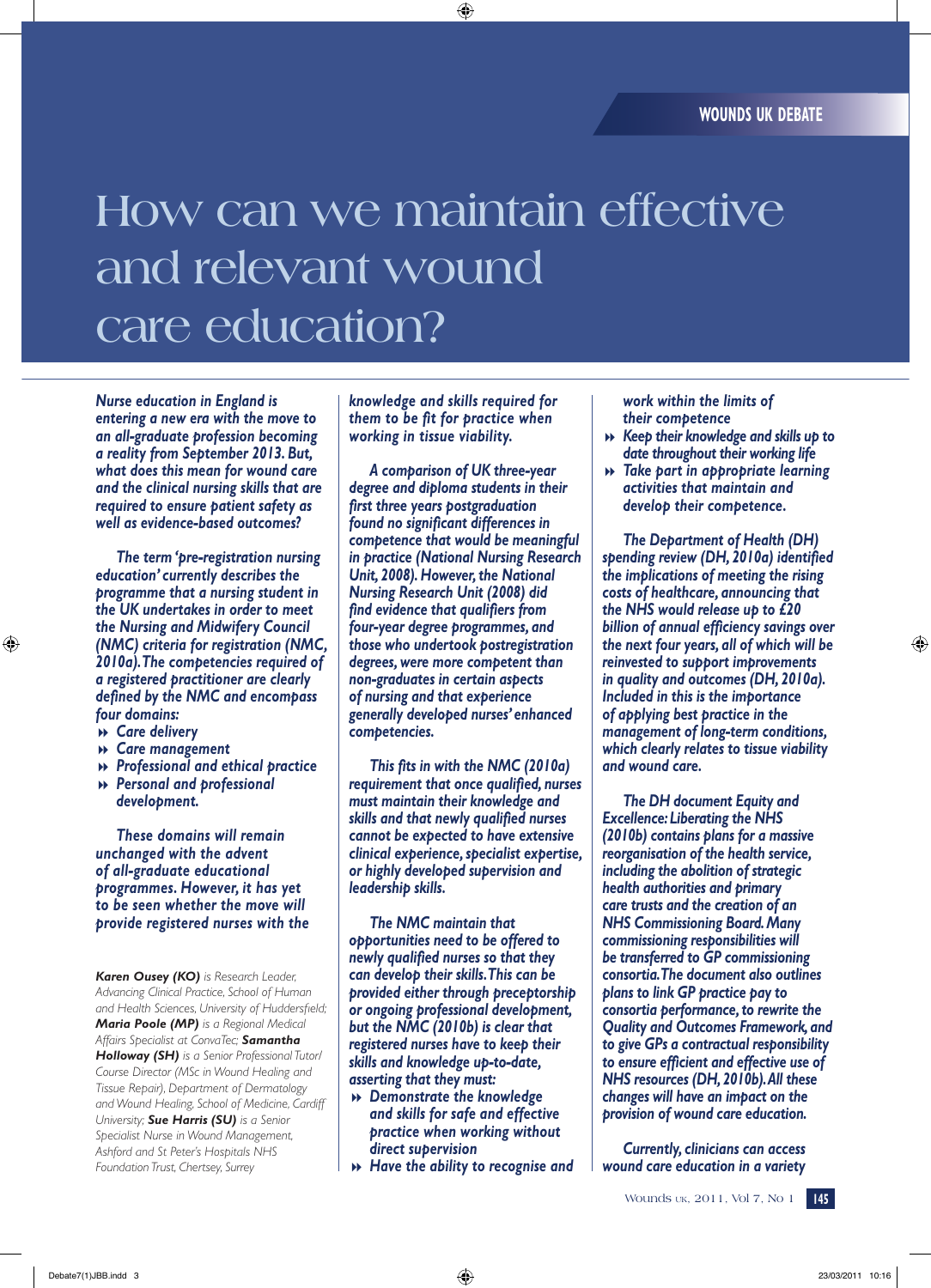# **How can we maintain effective and relevant wound care education?**

*Nurse education in England is entering a new era with the move to an all-graduate profession becoming a reality from September 2013. But, what does this mean for wound care and the clinical nursing skills that are required to ensure patient safety as well as evidence-based outcomes?*

*The term 'pre-registration nursing education' currently describes the programme that a nursing student in the UK undertakes in order to meet the Nursing and Midwifery Council (NMC) criteria for registration (NMC, 2010a). The competencies required of a registered practitioner are clearly defined by the NMC and encompass four domains:*

- 8 *Care delivery*
- 8 *Care management*
- 8 *Professional and ethical practice*
- 8 *Personal and professional development.*

*These domains will remain unchanged with the advent of all-graduate educational programmes. However, it has yet to be seen whether the move will provide registered nurses with the* 

*Karen Ousey (KO) is Research Leader, Advancing Clinical Practice, School of Human and Health Sciences, University of Huddersfield; Maria Poole (MP) is a Regional Medical Affairs Specialist at ConvaTec; Samantha Holloway (SH) is a Senior Professional Tutor/ Course Director (MSc in Wound Healing and Tissue Repair), Department of Dermatology and Wound Healing, School of Medicine, Cardiff University; Sue Harris (SU) is a Senior Specialist Nurse in Wound Management, Ashford and St Peter's Hospitals NHS Foundation Trust, Chertsey, Surrey*

*knowledge and skills required for them to be fit for practice when working in tissue viability.*

*A comparison of UK three-year degree and diploma students in their first three years postgraduation found no significant differences in competence that would be meaningful in practice (National Nursing Research Unit, 2008). However, the National Nursing Research Unit (2008) did find evidence that qualifiers from four-year degree programmes, and those who undertook postregistration degrees, were more competent than non-graduates in certain aspects of nursing and that experience generally developed nurses' enhanced competencies.* 

*This fits in with the NMC (2010a) requirement that once qualified, nurses must maintain their knowledge and skills and that newly qualified nurses cannot be expected to have extensive clinical experience, specialist expertise, or highly developed supervision and leadership skills.* 

*The NMC maintain that opportunities need to be offered to newly qualified nurses so that they can develop their skills. This can be provided either through preceptorship or ongoing professional development, but the NMC (2010b) is clear that registered nurses have to keep their skills and knowledge up-to-date, asserting that they must:*

- 8 *Demonstrate the knowledge and skills for safe and effective practice when working without direct supervision*
- 8 *Have the ability to recognise and*

*work within the limits of their competence*

- 8 *Keep their knowledge and skills up to date throughout their working life*
- 8 *Take part in appropriate learning activities that maintain and develop their competence.*

*The Department of Health (DH) spending review (DH, 2010a) identified the implications of meeting the rising costs of healthcare, announcing that the NHS would release up to £20 billion of annual efficiency savings over the next four years, all of which will be reinvested to support improvements in quality and outcomes (DH, 2010a). Included in this is the importance of applying best practice in the management of long-term conditions, which clearly relates to tissue viability and wound care.* 

*The DH document Equity and Excellence: Liberating the NHS (2010b) contains plans for a massive reorganisation of the health service, including the abolition of strategic health authorities and primary care trusts and the creation of an NHS Commissioning Board. Many commissioning responsibilities will be transferred to GP commissioning consortia. The document also outlines plans to link GP practice pay to consortia performance, to rewrite the Quality and Outcomes Framework, and to give GPs a contractual responsibility to ensure efficient and effective use of NHS resources (DH, 2010b). All these changes will have an impact on the provision of wound care education.*

*Currently, clinicians can access wound care education in a variety*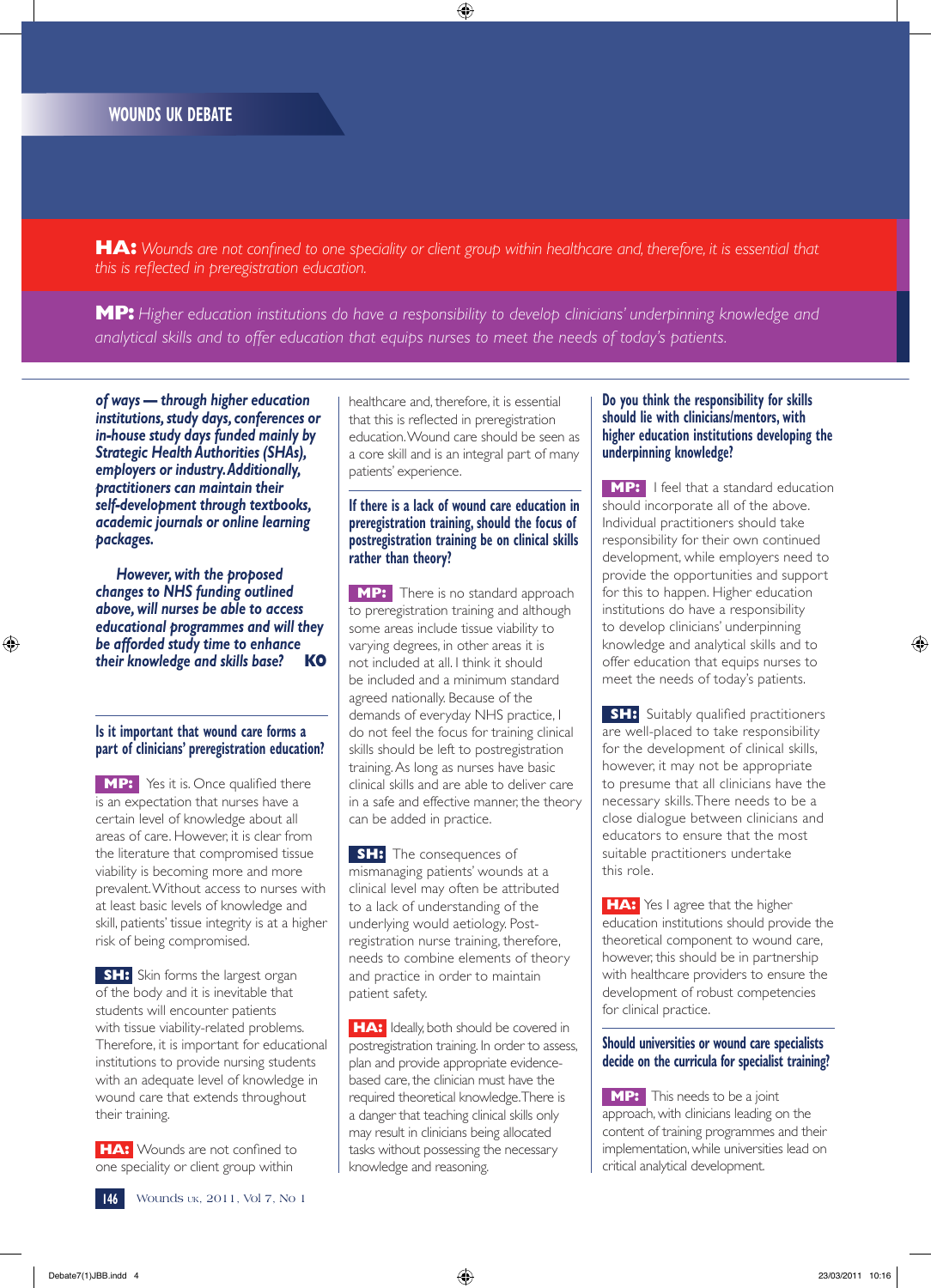**HA:** *Wounds are not confined to one speciality or client group within healthcare and, therefore, it is essential that this is reflected in preregistration education.* 

**MP:** *Higher education institutions do have a responsibility to develop clinicians' underpinning knowledge and analytical skills and to offer education that equips nurses to meet the needs of today's patients.* 

*of ways — through higher education institutions, study days, conferences or in-house study days funded mainly by Strategic Health Authorities (SHAs), employers or industry. Additionally, practitioners can maintain their self-development through textbooks, academic journals or online learning packages.* 

*However, with the proposed changes to NHS funding outlined above, will nurses be able to access educational programmes and will they be afforded study time to enhance their knowledge and skills base?* **KO**

#### **Is it important that wound care forms a part of clinicians' preregistration education?**

**MP:** Yes it is. Once qualified there is an expectation that nurses have a certain level of knowledge about all areas of care. However, it is clear from the literature that compromised tissue viability is becoming more and more prevalent. Without access to nurses with at least basic levels of knowledge and skill, patients' tissue integrity is at a higher risk of being compromised.

**SH:** Skin forms the largest organ of the body and it is inevitable that students will encounter patients with tissue viability-related problems. Therefore, it is important for educational institutions to provide nursing students with an adequate level of knowledge in wound care that extends throughout their training.

**HA:** Wounds are not confined to one speciality or client group within

healthcare and, therefore, it is essential that this is reflected in preregistration education. Wound care should be seen as a core skill and is an integral part of many patients' experience.

#### **If there is a lack of wound care education in preregistration training, should the focus of postregistration training be on clinical skills rather than theory?**

**MP:** There is no standard approach to preregistration training and although some areas include tissue viability to varying degrees, in other areas it is not included at all. I think it should be included and a minimum standard agreed nationally. Because of the demands of everyday NHS practice, I do not feel the focus for training clinical skills should be left to postregistration training. As long as nurses have basic clinical skills and are able to deliver care in a safe and effective manner, the theory can be added in practice.

**SH:** The consequences of mismanaging patients' wounds at a clinical level may often be attributed to a lack of understanding of the underlying would aetiology. Postregistration nurse training, therefore, needs to combine elements of theory and practice in order to maintain patient safety.

**HA:** Ideally, both should be covered in postregistration training. In order to assess, plan and provide appropriate evidencebased care, the clinician must have the required theoretical knowledge. There is a danger that teaching clinical skills only may result in clinicians being allocated tasks without possessing the necessary knowledge and reasoning.

#### **Do you think the responsibility for skills should lie with clinicians/mentors, with higher education institutions developing the underpinning knowledge?**

**MP:** I feel that a standard education should incorporate all of the above. Individual practitioners should take responsibility for their own continued development, while employers need to provide the opportunities and support for this to happen. Higher education institutions do have a responsibility to develop clinicians' underpinning knowledge and analytical skills and to offer education that equips nurses to meet the needs of today's patients.

**SH:** Suitably qualified practitioners are well-placed to take responsibility for the development of clinical skills, however, it may not be appropriate to presume that all clinicians have the necessary skills. There needs to be a close dialogue between clinicians and educators to ensure that the most suitable practitioners undertake this role.

**HA:** Yes I agree that the higher education institutions should provide the theoretical component to wound care, however, this should be in partnership with healthcare providers to ensure the development of robust competencies for clinical practice.

#### **Should universities or wound care specialists decide on the curricula for specialist training?**

**MP:** This needs to be a joint approach, with clinicians leading on the content of training programmes and their implementation, while universities lead on critical analytical development.